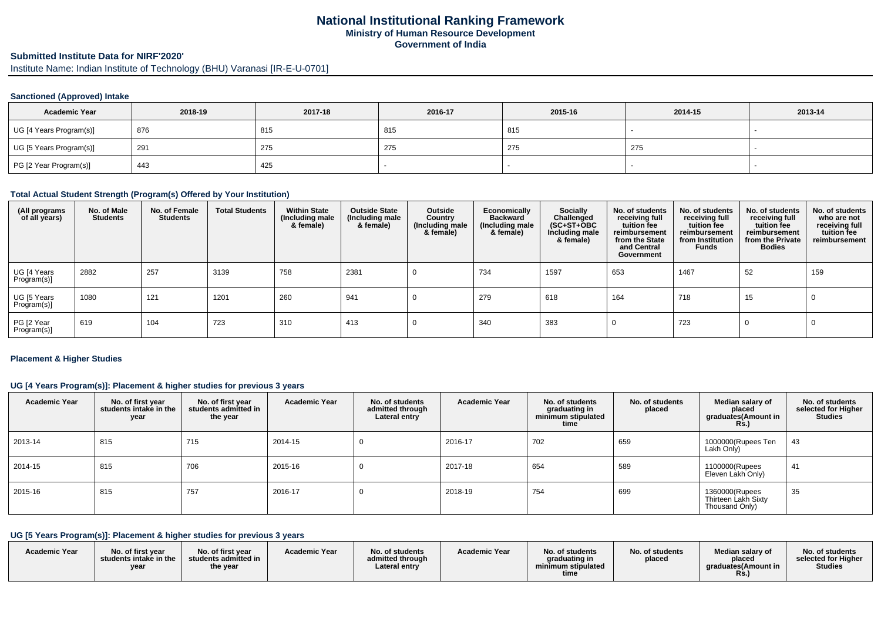## **National Institutional Ranking FrameworkMinistry of Human Resource DevelopmentGovernment of India**

# **Submitted Institute Data for NIRF'2020'**

Institute Name: Indian Institute of Technology (BHU) Varanasi [IR-E-U-0701]

#### **Sanctioned (Approved) Intake**

| <b>Academic Year</b>    | 2018-19 | 2017-18 | 2016-17 | 2015-16 | 2014-15 | 2013-14 |
|-------------------------|---------|---------|---------|---------|---------|---------|
| UG [4 Years Program(s)] | 876     | 815     | 815     | 815     |         |         |
| UG [5 Years Program(s)] | 291     | 275     | 275     | 275     | 275     |         |
| PG [2 Year Program(s)]  | 443     | 425     |         |         |         |         |

#### **Total Actual Student Strength (Program(s) Offered by Your Institution)**

| (All programs<br>of all years) | No. of Male<br><b>Students</b> | No. of Female<br><b>Students</b> | <b>Total Students</b> | <b>Within State</b><br>(Including male<br>& female) | <b>Outside State</b><br>(Including male<br>& female) | Outside<br>Country<br>(Including male<br>& female) | Economically<br><b>Backward</b><br>(Including male<br>& female) | Socially<br>Challenged<br>$(SC+ST+\text{O}BC)$<br>Including male<br>& female) | No. of students<br>receiving full<br>tuition fee<br>reimbursement<br>from the State<br>and Central<br>Government | No. of students<br>receiving full<br>tuition fee<br>reimbursement<br>from Institution<br><b>Funds</b> | No. of students<br>receiving full<br>tuition fee<br>reimbursement<br>from the Private<br><b>Bodies</b> | No. of students<br>who are not<br>receiving full<br>tuition fee<br>reimbursement |
|--------------------------------|--------------------------------|----------------------------------|-----------------------|-----------------------------------------------------|------------------------------------------------------|----------------------------------------------------|-----------------------------------------------------------------|-------------------------------------------------------------------------------|------------------------------------------------------------------------------------------------------------------|-------------------------------------------------------------------------------------------------------|--------------------------------------------------------------------------------------------------------|----------------------------------------------------------------------------------|
| UG [4 Years<br>Program(s)]     | 2882                           | 257                              | 3139                  | 758                                                 | 2381                                                 |                                                    | 734                                                             | 1597                                                                          | 653                                                                                                              | 1467                                                                                                  | 52                                                                                                     | 159                                                                              |
| UG [5 Years<br>Program(s)]     | 1080                           | 121                              | 1201                  | 260                                                 | 941                                                  |                                                    | 279                                                             | 618                                                                           | 164                                                                                                              | 718                                                                                                   | 15                                                                                                     |                                                                                  |
| PG [2 Year<br>Program(s)]      | 619                            | 104                              | 723                   | 310                                                 | 413                                                  |                                                    | 340                                                             | 383                                                                           |                                                                                                                  | 723                                                                                                   |                                                                                                        |                                                                                  |

#### **Placement & Higher Studies**

## **UG [4 Years Program(s)]: Placement & higher studies for previous 3 years**

| <b>Academic Year</b> | No. of first year<br>students intake in the<br>year | No. of first year<br>students admitted in<br>the year | <b>Academic Year</b> | No. of students<br>admitted through<br>Lateral entry | <b>Academic Year</b> | No. of students<br>graduating in<br>minimum stipulated<br>time | No. of students<br>placed | Median salary of<br>placed<br>graduates(Amount in<br><b>Rs.)</b> | No. of students<br>selected for Higher<br><b>Studies</b> |
|----------------------|-----------------------------------------------------|-------------------------------------------------------|----------------------|------------------------------------------------------|----------------------|----------------------------------------------------------------|---------------------------|------------------------------------------------------------------|----------------------------------------------------------|
| 2013-14              | 815                                                 | 715                                                   | 2014-15              |                                                      | 2016-17              | 702                                                            | 659                       | 1000000(Rupees Ten<br>Lakh Only)                                 | 43                                                       |
| 2014-15              | 815                                                 | 706                                                   | 2015-16              |                                                      | 2017-18              | 654                                                            | 589                       | 1100000(Rupees<br>Eleven Lakh Only)                              | 41                                                       |
| 2015-16              | 815                                                 | 757                                                   | 2016-17              |                                                      | 2018-19              | 754                                                            | 699                       | 1360000(Rupees<br>Thirteen Lakh Sixty<br>Thousand Only)          | 35                                                       |

## **UG [5 Years Program(s)]: Placement & higher studies for previous 3 years**

| <b>Academic Year</b> | No. of first vear<br>students intake in the<br>vear | <b>Academic Year</b><br>No. of first year<br>students admitted in<br>the year | No. of students<br>admitted through<br>∟ateral entrv | <b>Academic Year</b> | No. of students<br>graduating in<br>minimum stipulated<br>time | No. of students<br>placed | Median salary of<br>placed<br>araduates (Amount in<br>Rs. | No. of students<br>selected for Higher<br><b>Studies</b> |
|----------------------|-----------------------------------------------------|-------------------------------------------------------------------------------|------------------------------------------------------|----------------------|----------------------------------------------------------------|---------------------------|-----------------------------------------------------------|----------------------------------------------------------|
|----------------------|-----------------------------------------------------|-------------------------------------------------------------------------------|------------------------------------------------------|----------------------|----------------------------------------------------------------|---------------------------|-----------------------------------------------------------|----------------------------------------------------------|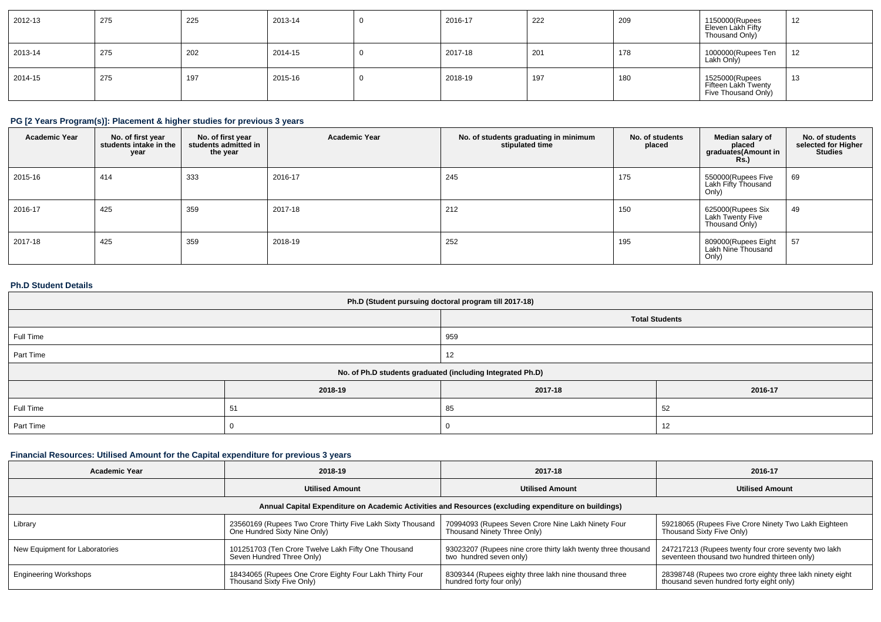| 2012-13 | 275 | 225 | 2013-14 | 2016-17 | 222 | 209 | 1150000(Rupees<br>Eleven Làkh Fifty<br>Thousand Only)        | 12           |
|---------|-----|-----|---------|---------|-----|-----|--------------------------------------------------------------|--------------|
| 2013-14 | 275 | 202 | 2014-15 | 2017-18 | 201 | 178 | 1000000(Rupees Ten<br>Lakh Only)                             | 12           |
| 2014-15 | 275 | 197 | 2015-16 | 2018-19 | 197 | 180 | 1525000(Rupees<br>Fifteen Lakh Twenty<br>Five Thousand Only) | - 1 2<br>ر ا |

## **PG [2 Years Program(s)]: Placement & higher studies for previous 3 years**

| <b>Academic Year</b> | No. of first year<br>students intake in the<br>year | No. of first year<br>students admitted in<br>the year | <b>Academic Year</b> | No. of students graduating in minimum<br>stipulated time | No. of students<br>placed | Median salary of<br>placed<br>graduates(Amount in<br><b>Rs.</b> ) | No. of students<br>selected for Higher<br><b>Studies</b> |
|----------------------|-----------------------------------------------------|-------------------------------------------------------|----------------------|----------------------------------------------------------|---------------------------|-------------------------------------------------------------------|----------------------------------------------------------|
| 2015-16              | 414                                                 | 333                                                   | 2016-17              | 245                                                      | 175                       | 550000(Rupees Five<br>Lakh Fifty Thousand<br>Only)                | 69                                                       |
| 2016-17              | 425                                                 | 359                                                   | 2017-18              | 212                                                      | 150                       | 625000(Rupees Six<br><b>Lakh Twenty Five</b><br>Thousand Only)    | 49                                                       |
| 2017-18              | 425                                                 | 359                                                   | 2018-19              | 252                                                      | 195                       | 809000(Rupees Eight<br>Lakh Nine Thousand<br>Only)                | 57                                                       |

#### **Ph.D Student Details**

| Ph.D (Student pursuing doctoral program till 2017-18) |                                                            |                       |         |  |  |
|-------------------------------------------------------|------------------------------------------------------------|-----------------------|---------|--|--|
|                                                       |                                                            | <b>Total Students</b> |         |  |  |
| Full Time                                             |                                                            | 959                   |         |  |  |
| Part Time                                             |                                                            | 12                    |         |  |  |
|                                                       | No. of Ph.D students graduated (including Integrated Ph.D) |                       |         |  |  |
|                                                       | 2018-19                                                    | 2017-18               | 2016-17 |  |  |
| Full Time                                             | 51                                                         | 85                    | 52      |  |  |
| Part Time                                             |                                                            | v                     | 12      |  |  |

## **Financial Resources: Utilised Amount for the Capital expenditure for previous 3 years**

| Academic Year                                                                                        | 2018-19                                                    | 2017-18                                                       | 2016-17                                                   |  |  |  |
|------------------------------------------------------------------------------------------------------|------------------------------------------------------------|---------------------------------------------------------------|-----------------------------------------------------------|--|--|--|
|                                                                                                      | <b>Utilised Amount</b>                                     | <b>Utilised Amount</b>                                        | <b>Utilised Amount</b>                                    |  |  |  |
| Annual Capital Expenditure on Academic Activities and Resources (excluding expenditure on buildings) |                                                            |                                                               |                                                           |  |  |  |
| Library                                                                                              | 23560169 (Rupees Two Crore Thirty Five Lakh Sixty Thousand | 70994093 (Rupees Seven Crore Nine Lakh Ninety Four            | 59218065 (Rupees Five Crore Ninety Two Lakh Eighteen      |  |  |  |
|                                                                                                      | One Hundred Sixty Nine Only)                               | Thousand Ninety Three Only)                                   | Thousand Sixty Five Only)                                 |  |  |  |
| New Equipment for Laboratories                                                                       | 101251703 (Ten Crore Twelve Lakh Fifty One Thousand        | 93023207 (Rupees nine crore thirty lakh twenty three thousand | 247217213 (Rupees twenty four crore seventy two lakh      |  |  |  |
|                                                                                                      | Seven Hundred Three Only)                                  | two hundred seven only)                                       | seventeen thousand two hundred thirteen only)             |  |  |  |
| <b>Engineering Workshops</b>                                                                         | 18434065 (Rupees One Crore Eighty Four Lakh Thirty Four    | 8309344 (Rupees eighty three lakh nine thousand three         | 28398748 (Rupees two crore eighty three lakh ninety eight |  |  |  |
|                                                                                                      | Thousand Sixty Five Only)                                  | hundred forty four only)                                      | thousand seven hundred forty eight only)                  |  |  |  |